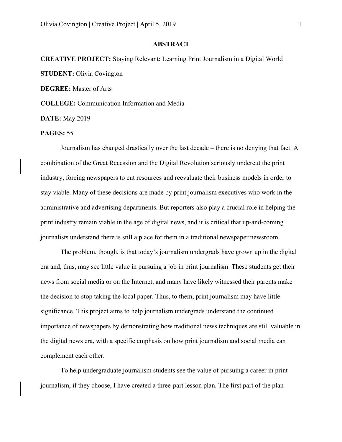## **ABSTRACT**

## **CREATIVE PROJECT:** Staying Relevant: Learning Print Journalism in a Digital World **STUDENT:** Olivia Covington

**DEGREE:** Master of Arts

**COLLEGE:** Communication Information and Media

**DATE:** May 2019

## **PAGES:** 55

Journalism has changed drastically over the last decade – there is no denying that fact. A combination of the Great Recession and the Digital Revolution seriously undercut the print industry, forcing newspapers to cut resources and reevaluate their business models in order to stay viable. Many of these decisions are made by print journalism executives who work in the administrative and advertising departments. But reporters also play a crucial role in helping the print industry remain viable in the age of digital news, and it is critical that up-and-coming journalists understand there is still a place for them in a traditional newspaper newsroom.

The problem, though, is that today's journalism undergrads have grown up in the digital era and, thus, may see little value in pursuing a job in print journalism. These students get their news from social media or on the Internet, and many have likely witnessed their parents make the decision to stop taking the local paper. Thus, to them, print journalism may have little significance. This project aims to help journalism undergrads understand the continued importance of newspapers by demonstrating how traditional news techniques are still valuable in the digital news era, with a specific emphasis on how print journalism and social media can complement each other.

To help undergraduate journalism students see the value of pursuing a career in print journalism, if they choose, I have created a three-part lesson plan. The first part of the plan